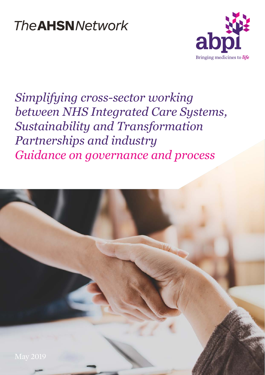# **The AHSN Network**



## *Simplifying cross-sector working between NHS Integrated Care Systems, Sustainability and Transformation Partnerships and industry Guidance on governance and process*

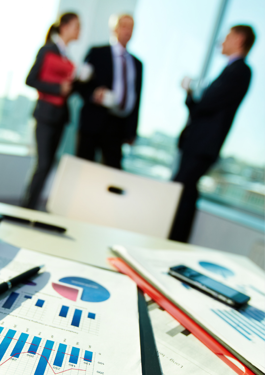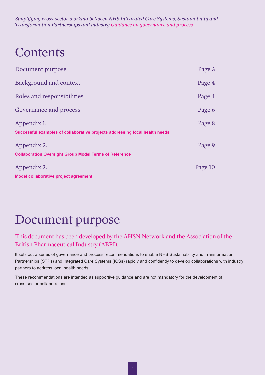## **Contents**

| Document purpose                                                                           | Page 3  |
|--------------------------------------------------------------------------------------------|---------|
| Background and context                                                                     | Page 4  |
| Roles and responsibilities                                                                 | Page 4  |
| Governance and process                                                                     | Page 6  |
| Appendix 1:<br>Successful examples of collaborative projects addressing local health needs | Page 8  |
| Appendix 2:                                                                                |         |
| <b>Collaboration Oversight Group Model Terms of Reference</b>                              | Page 9  |
| Appendix 3:                                                                                | Page 10 |
| Model collaborative project agreement                                                      |         |

## Document purpose

### This document has been developed by the AHSN Network and the Association of the British Pharmaceutical Industry (ABPI).

It sets out a series of governance and process recommendations to enable NHS Sustainability and Transformation Partnerships (STPs) and Integrated Care Systems (ICSs) rapidly and confidently to develop collaborations with industry partners to address local health needs.

These recommendations are intended as supportive guidance and are not mandatory for the development of cross-sector collaborations.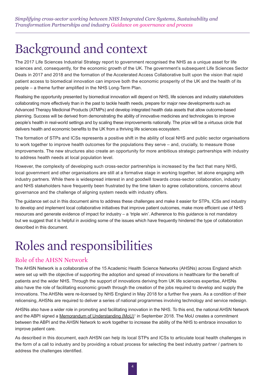# Background and context

The 2017 Life Sciences Industrial Strategy report to government recognised the NHS as a unique asset for life sciences and, consequently, for the economic growth of the UK. The government's subsequent Life Sciences Sector Deals in 2017 and 2018 and the formation of the Accelerated Access Collaborative built upon the vision that rapid patient access to biomedical innovation can improve both the economic prosperity of the UK and the health of its people – a theme further amplified in the NHS Long-Term Plan.

Realising the opportunity presented by biomedical innovation will depend on NHS, life sciences and industry stakeholders collaborating more effectively than in the past to tackle health needs, prepare for major new developments such as Advanced Therapy Medicinal Products (ATMPs) and develop integrated health data assets that allow outcome-based planning. Success will be derived from demonstrating the ability of innovative medicines and technologies to improve people's health in real-world settings and by scaling these improvements nationally. The prize will be a virtuous circle that delivers health and economic benefits to the UK from a thriving life sciences ecosystem.

The formation of STPs and ICSs represents a positive shift in the ability of local NHS and public sector organisations to work together to improve health outcomes for the populations they serve – and, crucially, to measure those improvements. The new structures also create an opportunity for more ambitious strategic partnerships with industry to address health needs at local population level.

However, the complexity of developing such cross-sector partnerships is increased by the fact that many NHS, local government and other organisations are still at a formative stage in working together, let alone engaging with industry partners. While there is widespread interest in and goodwill towards cross-sector collaboration, industry and NHS stakeholders have frequently been frustrated by the time taken to agree collaborations, concerns about governance and the challenge of aligning system needs with industry offers.

The guidance set out in this document aims to address these challenges and make it easier for STPs, ICSs and industry to develop and implement local collaborative initiatives that improve patient outcomes, make more efficient use of NHS resources and generate evidence of impact for industry – a 'triple win'. Adherence to this guidance is not mandatory but we suggest that it is helpful in avoiding some of the issues which have frequently hindered the type of collaboration described in this document.

## Roles and responsibilities

#### Role of the AHSN Network

The AHSN Network is a collaborative of the 15 Academic Health Science Networks (AHSNs) across England which were set up with the objective of supporting the adoption and spread of innovations in healthcare for the benefit of patients and the wider NHS. Through the support of innovations deriving from UK life sciences expertise, AHSNs also have the role of facilitating economic growth through the creation of the jobs required to develop and supply the innovations. The AHSNs were re-licensed by NHS England in May 2018 for a further five years. As a condition of their relicensing, AHSNs are required to deliver a series of national programmes involving technology and service redesign.

AHSNs also have a wider role in promoting and facilitating innovation in the NHS. To this end, the national AHSN Network and the ABPI signed a <u>Memorandum of Understanding (MoU)</u><sup>1</sup> in September 2018. The MoU creates a commitment between the ABPI and the AHSN Network to work together to increase the ability of the NHS to embrace innovation to improve patient care.

As described in this document, each AHSN can help its local STPs and ICSs to articulate local health challenges in the form of a call to industry and by providing a robust process for selecting the best industry partner / partners to address the challenges identified.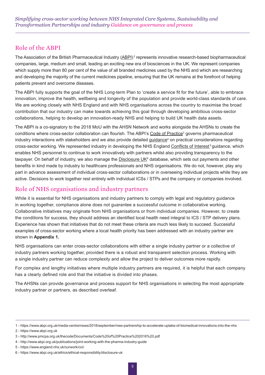#### Role of the ABPI

The Association of the British Pharmaceutical Industry (ABPI)<sup>2</sup> represents innovative research-based biopharmaceutical companies, large, medium and small, leading an exciting new era of biosciences in the UK. We represent companies which supply more than 80 per cent of the value of all branded medicines used by the NHS and which are researching and developing the majority of the current medicines pipeline, ensuring that the UK remains at the forefront of helping patients prevent and overcome diseases.

The ABPI fully supports the goal of the NHS Long-term Plan to 'create a service fit for the future', able to embrace innovation, improve the health, wellbeing and longevity of the population and provide world-class standards of care. We are working closely with NHS England and with NHS organisations across the country to maximise the broad contribution that our industry can make towards achieving this goal through developing ambitious cross-sector collaborations, helping to develop an innovation-ready NHS and helping to build UK health data assets.

The ABPI is a co-signatory to the 2018 MoU with the AHSN Network and works alongside the AHSNs to create the conditions where cross-sector collaboration can flourish. The ABPI's Code of Practice<sup>3</sup> governs pharmaceutical industry interactions with stakeholders and we also provide detailed guidance<sup>4</sup> on practical considerations regarding cross-sector working. We represented industry in developing the NHS England Conflicts of Interest<sup>5</sup> guidance, which enables NHS personnel to continue to work innovatively with partners whilst also providing transparency to the taxpayer. On behalf of industry, we also manage the Disclosure UK<sup>6</sup> database, which sets out payments and other benefits in kind made by industry to healthcare professionals and NHS organisations. We do not, however, play any part in advance assessment of individual cross-sector collaborations or in overseeing individual projects while they are active. Decisions to work together rest entirely with individual ICSs / STPs and the company or companies involved.

#### Role of NHS organisations and industry partners

While it is essential for NHS organisations and industry partners to comply with legal and regulatory guidance in working together, compliance alone does not guarantee a successful outcome in collaborative working. Collaborative initiatives may originate from NHS organisations or from individual companies. However, to create the conditions for success, they should address an identified local health need integral to ICS / STP delivery plans. Experience has shown that initiatives that do not meet these criteria are much less likely to succeed. Successful examples of cross-sector working where a local health priority has been addressed with an industry partner are shown in **Appendix 1.** 

NHS organisations can enter cross-sector collaborations with either a single industry partner or a collective of industry partners working together, provided there is a robust and transparent selection process. Working with a single industry partner can reduce complexity and allow the project to deliver outcomes more rapidly.

For complex and lengthy initiatives where multiple industry partners are required, it is helpful that each company has a clearly defined role and that the initiative is divided into phases.

The AHSNs can provide governance and process support for NHS organisations in selecting the most appropriate industry partner or partners, as described overleaf.

2 - https://www.abpi.org.uk

<sup>1 -</sup> https://www.abpi.org.uk/media-centre/news/2018/september/new-partnership-to-accelerate-uptake-of-biomedical-innovations-into-the-nhs

<sup>3 -</sup> http://www.pmcpa.org.uk/thecode/Documents/Code%20of%20Practice%202016%20.pdf

<sup>4 -</sup> http://www.abpi.org.uk/publications/joint-working-with-the-pharma-industry-guide

<sup>5 -</sup> https://www.england.nhs.uk/ourwork/coi/

<sup>6 -</sup> https://www.abpi.org.uk/ethics/ethical-responsibility/disclosure-uk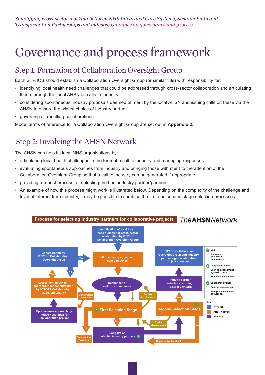# Governance and process framework

### Step 1: Formation of Collaboration Oversight Group

Each STP/ICS should establish a Collaboration Oversight Group (or similar title) with responsibility for:

- identifying local health need challenges that could be addressed through cross-sector collaboration and articulating these through the local AHSN as calls to industry
- considering spontaneous industry proposals deemed of merit by the local AHSN and issuing calls on these via the AHSN to ensure the widest choice of industry partner
- governing all resulting collaborations

Model terms of reference for a Collaboration Oversight Group are set out in **Appendix 2.**

### Step 2: Involving the AHSN Network

The AHSN can help its local NHS organisations by:

- articulating local health challenges in the form of a call to industry and managing responses
- evaluating spontaneous approaches from industry and bringing those with merit to the attention of the Collaboration Oversight Group so that a call to industry can be generated if appropriate
- providing a robust process for selecting the best industry partner/partners
- An example of how this process might work is illustrated below. Depending on the complexity of the challenge and level of interest from industry, it may be possible to combine the first and second stage selection processes:

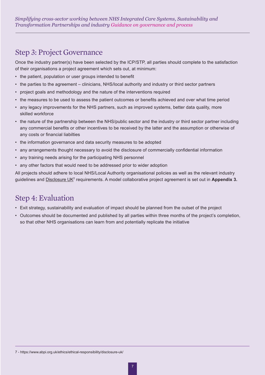### Step 3: Project Governance

Once the industry partner(s) have been selected by the ICP/STP, all parties should complete to the satisfaction of their organisations a project agreement which sets out, at minimum:

- the patient, population or user groups intended to benefit
- the parties to the agreement clinicians, NHS/local authority and industry or third sector partners
- project goals and methodology and the nature of the interventions required
- the measures to be used to assess the patient outcomes or benefits achieved and over what time period
- any legacy improvements for the NHS partners, such as improved systems, better data quality, more skilled workforce
- the nature of the partnership between the NHS/public sector and the industry or third sector partner including any commercial benefits or other incentives to be received by the latter and the assumption or otherwise of any costs or financial liabilties
- the information governance and data security measures to be adopted
- any arrangements thought necessary to avoid the disclosure of commercially confidential information
- any training needs arising for the participating NHS personnel
- any other factors that would need to be addressed prior to wider adoption

All projects should adhere to local NHS/Local Authority organisational policies as well as the relevant industry guidelines and Disclosure UK<sup>7</sup> requirements. A model collaborative project agreement is set out in Appendix 3.

### Step 4: Evaluation

- Exit strategy, sustainability and evaluation of impact should be planned from the outset of the project
- Outcomes should be documented and published by all parties within three months of the project's completion, so that other NHS organisations can learn from and potentially replicate the initiative

<sup>7 -</sup> https://www.abpi.org.uk/ethics/ethical-responsibility/disclosure-uk/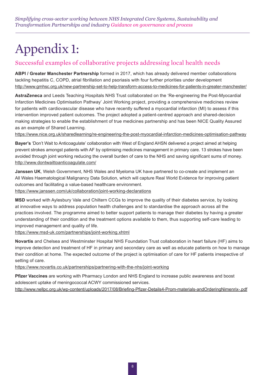# Appendix 1:

#### Successful examples of collaborative projects addressing local health needs

**ABPI / Greater Manchester Partnership** formed in 2017, which has already delivered member collaborations tackling hepatitis C, COPD, atrial fibrillation and psoriasis with four further priorities under development http://www.gmhsc.org.uk/new-partnership-set-to-help-transform-access-to-medicines-for-patients-in-greater-manchester/

**AstraZeneca** and Leeds Teaching Hospitals NHS Trust collaborated on the 'Re-engineering the Post-Myocardial Infarction Medicines Optimisation Pathway' Joint Working project, providing a comprehensive medicines review for patients with cardiovascular disease who have recently suffered a myocardial infarction (MI) to assess if this intervention improved patient outcomes. The project adopted a patient-centred approach and shared-decision making strategies to enable the establishment of true medicines partnership and has been NICE Quality Assured as an example of Shared Learning.

https://www.nice.org.uk/sharedlearning/re-engineering-the-post-myocardial-infarction-medicines-optimisation-pathway

**Bayer's** 'Don't Wait to Anticoagulate' collaboration with West of England AHSN delivered a project aimed at helping prevent strokes amongst patients with AF by optimising medicines management in primary care. 13 strokes have been avoided through joint working reducing the overall burden of care to the NHS and saving significant sums of money. http://www.dontwaittoanticoagulate.com/

**Janssen UK**, Welsh Government, NHS Wales and Myeloma UK have partnered to co-create and implement an All Wales Haematological Malignancy Data Solution, which will capture Real World Evidence for improving patient outcomes and facilitating a value-based healthcare environment.

https://www.janssen.com/uk/collaboration/joint-working-declarations

**MSD** worked with Aylesbury Vale and Chiltern CCGs to improve the quality of their diabetes service, by looking at innovative ways to address population health challenges and to standardise the approach across all the practices involved. The programme aimed to better support patients to manage their diabetes by having a greater understanding of their condition and the treatment options available to them, thus supporting self-care leading to improved management and quality of life.

https://www.msd-uk.com/partnerships/joint-working.xhtml

**Novartis** and Chelsea and Westminster Hospital NHS Foundation Trust collaboration in heart failure (HF) aims to improve detection and treatment of HF in primary and secondary care as well as educate patients on how to manage their condition at home. The expected outcome of the project is optimisation of care for HF patients irrespective of setting of care.

https://www.novartis.co.uk/partnerships/partnering-with-the-nhs/joint-working

**Pfizer Vaccines** are working with Pharmacy London and NHS England to increase public awareness and boost adolescent uptake of meningococcal ACWY commissioned services.

http://www.nellpc.org.uk/wp-content/uploads/2017/08/Briefing-Pfizer-Details4-Prom-materials-andOrderingNimenrix-.pdf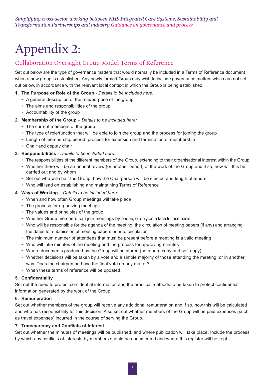# Appendix 2:

#### Collaboration Oversight Group Model Terms of Reference

Set out below are the type of governance matters that would normally be included in a Terms of Reference document when a new group is established. Any newly formed Group may wish to include governance matters which are not set out below, in accordance with the relevant local context in which the Group is being established.

- **1. The Purpose or Role of the Group** *Details to be included here:*
	- A general description of the role/purpose of the group
	- The aims and responsibilities of the group
	- Accountability of the group
- **2. Membership of the Group** – *Details to be included here:* 
	- The current members of the group
	- The type of role/function that will be able to join the group and the process for joining the group
	- Length of membership period, process for extension and termination of membership
	- Chair and deputy chair

#### **3. Responsibilities** - *Details to be included here:*

- The responsibilities of the different members of the Group, extending to their organisational interest within the Group
- Whether there will be an annual review (or another period) of the work of the Group and if so, how will this be carried out and by whom
- Set out who will chair the Group, how the Chairperson will be elected and length of tenure
- Who will lead on establishing and maintaining Terms of Reference

#### **4. Ways of Working** – *Details to be included here:*

- When and how often Group meetings will take place
- The process for organizing meetings
- The values and principles of the group
- Whether Group members can join meetings by phone, or only on a face to face basis
- Who will be responsible for the agenda of the meeting, the circulation of meeting papers (if any) and arranging the dates for submission of meeting papers prior to circulation
- The minimum number of attendees that must be present before a meeting is a valid meeting
- Who will take minutes of the meeting and the process for approving minutes
- Where documents produced by the Group will be stored (both hard copy and soft copy)
- Whether decisions will be taken by a vote and a simple majority of those attending the meeting, or in another way. Does the chairperson have the final vote on any matter?
- When these terms of reference will be updated.

#### **5. Confidentiality**

Set out the need to protect confidential information and the practical methods to be taken to protect confidential information generated by the work of the Group.

#### **6. Remuneration**

Set out whether members of the group will receive any additional remuneration and if so, how this will be calculated and who has responsibility for this decision. Also set out whether members of the Group will be paid expenses (such as travel expenses) incurred in the course of serving the Group.

#### **7. Transparency and Conflicts of Interest**

Set out whether the minutes of meetings will be published, and where publication will take place. Include the process by which any conflicts of interests by members should be documented and where this register will be kept.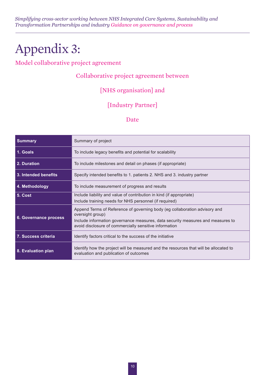*Simplifying cross-sector working between NHS Integrated Care Systems, Sustainability and Transformation Partnerships and industry Guidance on governance and process* 

## Appendix 3:

### Model collaborative project agreement

#### Collaborative project agreement between

#### [NHS organisation] and

### [Industry Partner]

#### Date

| <b>Summary</b>        | Summary of project                                                                                                                                                                                                                          |
|-----------------------|---------------------------------------------------------------------------------------------------------------------------------------------------------------------------------------------------------------------------------------------|
| 1. Goals              | To include legacy benefits and potential for scalability                                                                                                                                                                                    |
| 2. Duration           | To include milestones and detail on phases (if appropriate)                                                                                                                                                                                 |
| 3. Intended benefits  | Specify intended benefits to 1. patients 2. NHS and 3. industry partner                                                                                                                                                                     |
| 4. Methodology        | To include measurement of progress and results                                                                                                                                                                                              |
| 5. Cost               | Include liability and value of contribution in kind (if appropriate)<br>Include training needs for NHS personnel (if required)                                                                                                              |
| 6. Governance process | Append Terms of Reference of governing body (eg collaboration advisory and<br>oversight group)<br>Include information governance measures, data security measures and measures to<br>avoid disclosure of commercially sensitive information |
| 7. Success criteria   | Identify factors critical to the success of the initiative                                                                                                                                                                                  |
| 8. Evaluation plan    | Identify how the project will be measured and the resources that will be allocated to<br>evaluation and publication of outcomes                                                                                                             |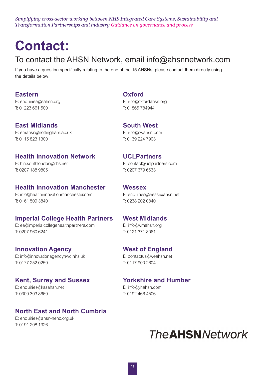*Simplifying cross-sector working between NHS Integrated Care Systems, Sustainability and Transformation Partnerships and industry Guidance on governance and process* 

## **Contact:**

### To contact the AHSN Network, email info@ahsnnetwork.com

If you have a question specifically relating to the one of the 15 AHSNs, please contact them directly using the details below:

**Eastern** E: enquiries@eahsn.org T: 01223 661 500

#### **East Midlands**

E: emahsn@nottingham.ac.uk T: 0115 823 1300

#### **Health Innovation Network**

E: hin.southlondon@nhs.net T: 0207 188 9805

#### **Health Innovation Manchester**

E: info@healthinnovationmanchester.com T: 0161 509 3840

#### **Imperial College Health Partners**

E: ea@imperialcollegehealthpartners.com T: 0207 960 6241

#### **Innovation Agency**

E: info@innovationagencynwc.nhs.uk T: 0177 252 0250

#### **Kent, Surrey and Sussex**

E: enquiries@kssahsn.net T: 0300 303 8660

### **North East and North Cumbria**

E: enquiries@ahsn-nenc.org.uk T: 0191 208 1326

#### **Oxford**

E: info@oxfordahsn.org T: 01865 784944

#### **South West**

E: info@swahsn.com T: 0139 224 7903

#### **UCLPartners**

E: contact@uclpartners.com T: 0207 679 6633

#### **Wessex**

E: enquiries@wessexahsn.net T: 0238 202 0840

#### **West Midlands**

E: info@wmahsn.org T: 0121 371 8061

#### **West of England**

E: contactus@weahsn.net T: 0117 900 2604

#### **Yorkshire and Humber**

E: info@yhahsn.com T: 0192 466 4506

## **The AHSN Network**